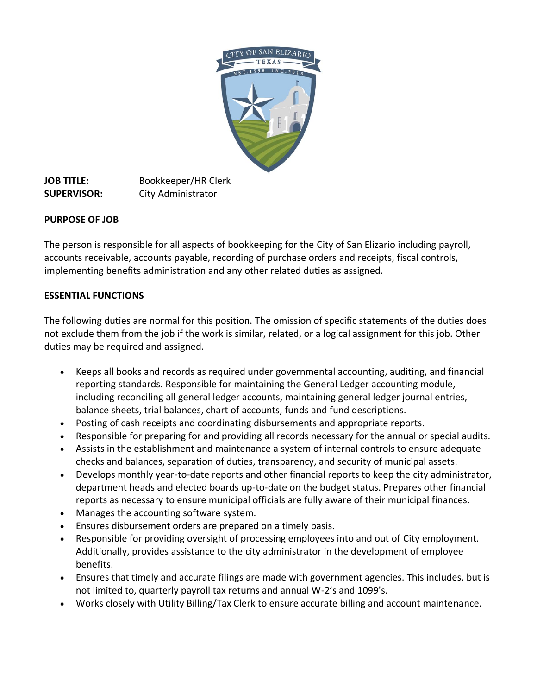

**JOB TITLE:** Bookkeeper/HR Clerk **SUPERVISOR:** City Administrator

## **PURPOSE OF JOB**

The person is responsible for all aspects of bookkeeping for the City of San Elizario including payroll, accounts receivable, accounts payable, recording of purchase orders and receipts, fiscal controls, implementing benefits administration and any other related duties as assigned.

## **ESSENTIAL FUNCTIONS**

The following duties are normal for this position. The omission of specific statements of the duties does not exclude them from the job if the work is similar, related, or a logical assignment for this job. Other duties may be required and assigned.

- Keeps all books and records as required under governmental accounting, auditing, and financial reporting standards. Responsible for maintaining the General Ledger accounting module, including reconciling all general ledger accounts, maintaining general ledger journal entries, balance sheets, trial balances, chart of accounts, funds and fund descriptions.
- Posting of cash receipts and coordinating disbursements and appropriate reports.
- Responsible for preparing for and providing all records necessary for the annual or special audits.
- Assists in the establishment and maintenance a system of internal controls to ensure adequate checks and balances, separation of duties, transparency, and security of municipal assets.
- Develops monthly year-to-date reports and other financial reports to keep the city administrator, department heads and elected boards up-to-date on the budget status. Prepares other financial reports as necessary to ensure municipal officials are fully aware of their municipal finances.
- Manages the accounting software system.
- Ensures disbursement orders are prepared on a timely basis.
- Responsible for providing oversight of processing employees into and out of City employment. Additionally, provides assistance to the city administrator in the development of employee benefits.
- Ensures that timely and accurate filings are made with government agencies. This includes, but is not limited to, quarterly payroll tax returns and annual W-2's and 1099's.
- Works closely with Utility Billing/Tax Clerk to ensure accurate billing and account maintenance.